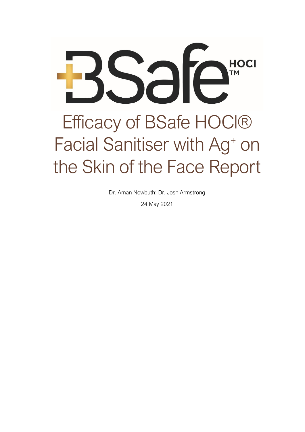

Dr. Aman Nowbuth; Dr. Josh Armstrong

24 May 2021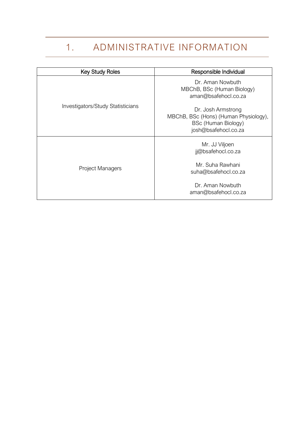# 1. ADMINISTRATIVE INFORMATION

<span id="page-1-0"></span>

| <b>Key Study Roles</b>            | Responsible Individual                                                                                     |
|-----------------------------------|------------------------------------------------------------------------------------------------------------|
| Investigators/Study Statisticians | Dr. Aman Nowbuth<br>MBChB, BSc (Human Biology)<br>aman@bsafehocl.co.za                                     |
|                                   | Dr. Josh Armstrong<br>MBChB, BSc (Hons) (Human Physiology),<br>BSc (Human Biology)<br>josh@bsafehocl.co.za |
| <b>Project Managers</b>           | Mr. JJ Viljoen<br>jj@bsafehocl.co.za                                                                       |
|                                   | Mr. Suha Rawhani<br>suha@bsafehocl.co.za                                                                   |
|                                   | Dr. Aman Nowbuth<br>aman@bsafehocl.co.za                                                                   |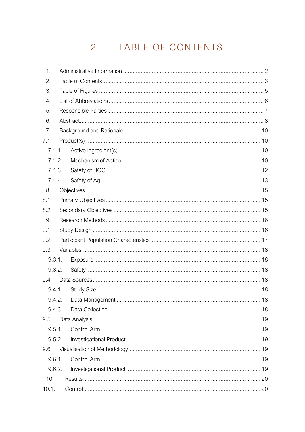#### $2.$ TABLE OF CONTENTS

<span id="page-2-0"></span>

| 1.     |  |  |
|--------|--|--|
| 2.     |  |  |
| 3.     |  |  |
| 4.     |  |  |
| 5.     |  |  |
| 6.     |  |  |
| 7.     |  |  |
| 7.1.   |  |  |
| 7.1.1. |  |  |
| 7.1.2. |  |  |
| 7.1.3. |  |  |
| 7.1.4. |  |  |
| 8.     |  |  |
| 8.1.   |  |  |
| 8.2.   |  |  |
| 9.     |  |  |
| 9.1.   |  |  |
| 9.2.   |  |  |
| 9.3.   |  |  |
| 9.3.1. |  |  |
| 9.3.2. |  |  |
| 9.4.   |  |  |
| 9.4.1. |  |  |
| 9.4.2. |  |  |
| 9.4.3. |  |  |
| 9.5.   |  |  |
| 9.5.1. |  |  |
| 9.5.2. |  |  |
| 9.6.   |  |  |
| 9.6.1. |  |  |
| 9.6.2. |  |  |
| 10.    |  |  |
| 10.1.  |  |  |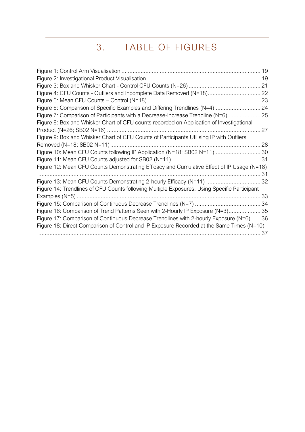# 3. TABLE OF FIGURES

<span id="page-4-0"></span>

|                                                                                              | 19 |
|----------------------------------------------------------------------------------------------|----|
|                                                                                              |    |
|                                                                                              |    |
| Figure 4: CFU Counts - Outliers and Incomplete Data Removed (N=18) 22                        |    |
|                                                                                              |    |
| Figure 6: Comparison of Specific Examples and Differing Trendlines (N=4)  24                 |    |
| Figure 7: Comparison of Participants with a Decrease-Increase Trendline (N=6)  25            |    |
| Figure 8: Box and Whisker Chart of CFU counts recorded on Application of Investigational     |    |
|                                                                                              | 27 |
| Figure 9: Box and Whisker Chart of CFU Counts of Participants Utilising IP with Outliers     |    |
|                                                                                              |    |
| Figure 10: Mean CFU Counts following IP Application (N=18; SB02 N=11)  30                    |    |
|                                                                                              |    |
| Figure 12: Mean CFU Counts Demonstrating Efficacy and Cumulative Effect of IP Usage (N=18)   |    |
|                                                                                              |    |
| Figure 13: Mean CFU Counts Demonstrating 2-hourly Efficacy (N=11)  32                        |    |
| Figure 14: Trendlines of CFU Counts following Multiple Exposures, Using Specific Participant |    |
|                                                                                              |    |
|                                                                                              |    |
| Figure 16: Comparison of Trend Patterns Seen with 2-Hourly IP Exposure (N=3) 35              |    |
| Figure 17: Comparison of Continuous Decrease Trendlines with 2-hourly Exposure (N=6) 36      |    |
| Figure 18: Direct Comparison of Control and IP Exposure Recorded at the Same Times (N=10)    |    |
|                                                                                              | 37 |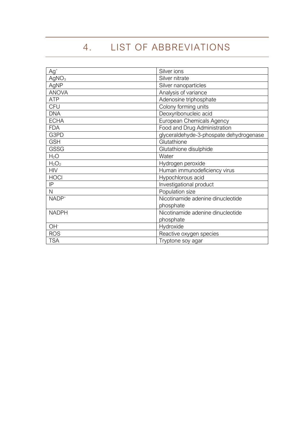# 4. LIST OF ABBREVIATIONS

<span id="page-5-0"></span>

| $Ag+$             | Silver ions                             |  |
|-------------------|-----------------------------------------|--|
| AgNO <sub>3</sub> | Silver nitrate                          |  |
| AgNP              | Silver nanoparticles                    |  |
| <b>ANOVA</b>      | Analysis of variance                    |  |
| <b>ATP</b>        | Adenosine triphosphate                  |  |
| <b>CFU</b>        | Colony forming units                    |  |
| <b>DNA</b>        | Deoxyribonucleic acid                   |  |
| <b>ECHA</b>       | European Chemicals Agency               |  |
| <b>FDA</b>        | Food and Drug Administration            |  |
| G3PD              | glyceraldehyde-3-phospate dehydrogenase |  |
| <b>GSH</b>        | Glutathione                             |  |
| <b>GSSG</b>       | Glutathione disulphide                  |  |
| $H_2O$            | Water                                   |  |
| $H_2O_2$          | Hydrogen peroxide                       |  |
| <b>HIV</b>        | Human immunodeficiency virus            |  |
| <b>HOCI</b>       | Hypochlorous acid                       |  |
| IP                | Investigational product                 |  |
| N                 | Population size                         |  |
| NADP <sup>+</sup> | Nicotinamide adenine dinucleotide       |  |
|                   | phosphate                               |  |
| <b>NADPH</b>      | Nicotinamide adenine dinucleotide       |  |
|                   | phosphate                               |  |
| OH <sup>-</sup>   | Hydroxide                               |  |
| <b>ROS</b>        | Reactive oxygen species                 |  |
| <b>TSA</b>        | Tryptone soy agar                       |  |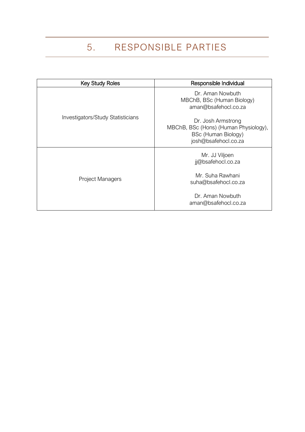# 5. RESPONSIBLE PARTIES

<span id="page-6-0"></span>

| <b>Key Study Roles</b>            | Responsible Individual                                                                                     |  |
|-----------------------------------|------------------------------------------------------------------------------------------------------------|--|
| Investigators/Study Statisticians | Dr. Aman Nowbuth<br>MBChB, BSc (Human Biology)<br>aman@bsafehocl.co.za                                     |  |
|                                   | Dr. Josh Armstrong<br>MBChB, BSc (Hons) (Human Physiology),<br>BSc (Human Biology)<br>josh@bsafehocl.co.za |  |
| <b>Project Managers</b>           | Mr. JJ Viljoen<br>jj@bsafehocl.co.za                                                                       |  |
|                                   | Mr. Suha Rawhani<br>suha@bsafehocl.co.za                                                                   |  |
|                                   | Dr. Aman Nowbuth<br>aman@bsafehocl.co.za                                                                   |  |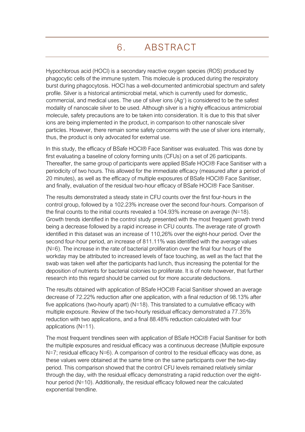# 6. ABSTRACT

<span id="page-7-0"></span>Hypochlorous acid (HOCl) is a secondary reactive oxygen species (ROS) produced by phagocytic cells of the immune system. This molecule is produced during the respiratory burst during phagocytosis. HOCl has a well-documented antimicrobial spectrum and safety profile. Silver is a historical antimicrobial metal, which is currently used for domestic, commercial, and medical uses. The use of silver ions  $(Ag<sup>+</sup>)$  is considered to be the safest modality of nanoscale silver to be used. Although silver is a highly efficacious antimicrobial molecule, safety precautions are to be taken into consideration. It is due to this that silver ions are being implemented in the product, in comparison to other nanoscale silver particles. However, there remain some safety concerns with the use of silver ions internally, thus, the product is only advocated for external use.

In this study, the efficacy of BSafe HOCl® Face Sanitiser was evaluated. This was done by first evaluating a baseline of colony forming units (CFUs) on a set of 26 participants. Thereafter, the same group of participants were applied BSafe HOCl® Face Sanitiser with a periodicity of two hours. This allowed for the immediate efficacy (measured after a period of 20 minutes), as well as the efficacy of multiple exposures of BSafe HOCl® Face Sanitiser, and finally, evaluation of the residual two-hour efficacy of BSafe HOCl® Face Sanitiser.

The results demonstrated a steady state in CFU counts over the first four-hours in the control group, followed by a 102.23% increase over the second four-hours. Comparison of the final counts to the initial counts revealed a 104.93% increase on average (N=18). Growth trends identified in the control study presented with the most frequent growth trend being a decrease followed by a rapid increase in CFU counts. The average rate of growth identified in this dataset was an increase of 110,26% over the eight-hour period. Over the second four-hour period, an increase of 811.11% was identified with the average values (N=6). The increase in the rate of bacterial proliferation over the final four hours of the workday may be attributed to increased levels of face touching, as well as the fact that the swab was taken well after the participants had lunch, thus increasing the potential for the deposition of nutrients for bacterial colonies to proliferate. It is of note however, that further research into this regard should be carried out for more accurate deductions.

The results obtained with application of BSafe HOCl® Facial Sanitiser showed an average decrease of 72.22% reduction after one application, with a final reduction of 98.13% after five applications (two-hourly apart) ( $N=18$ ). This translated to a cumulative efficacy with multiple exposure. Review of the two-hourly residual efficacy demonstrated a 77.35% reduction with two applications, and a final 88.48% reduction calculated with four applications (N=11).

The most frequent trendlines seen with application of BSafe HOCl® Facial Sanitiser for both the multiple exposures and residual efficacy was a continuous decrease (Multiple exposure N=7; residual efficacy N=6). A comparison of control to the residual efficacy was done, as these values were obtained at the same time on the same participants over the two-day period. This comparison showed that the control CFU levels remained relatively similar through the day, with the residual efficacy demonstrating a rapid reduction over the eighthour period (N=10). Additionally, the residual efficacy followed near the calculated exponential trendline.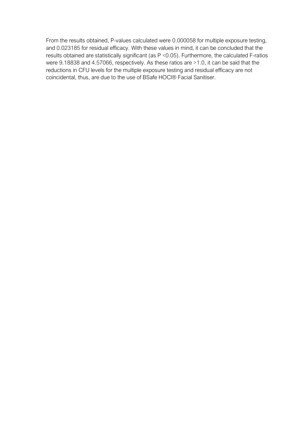From the results obtained, P-values calculated were 0.000058 for multiple exposure testing, and 0.023185 for residual efficacy. With these values in mind, it can be concluded that the results obtained are statistically significant (as P <0.05). Furthermore, the calculated F-ratios were 9.18838 and 4.57066, respectively. As these ratios are >1.0, it can be said that the reductions in CFU levels for the multiple exposure testing and residual efficacy are not coincidental, thus, are due to the use of BSafe HOCl® Facial Sanitiser.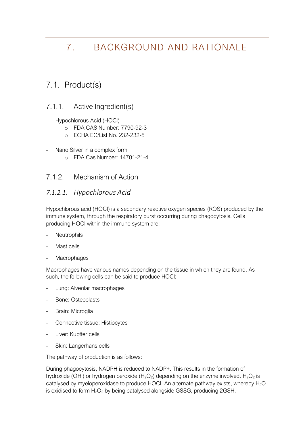# <span id="page-9-0"></span>7. BACKGROUND AND RATIONALE

## <span id="page-9-1"></span>7.1. Product(s)

#### <span id="page-9-2"></span>7.1.1. Active Ingredient(s)

- Hypochlorous Acid (HOCl)
	- o FDA CAS Number: 7790-92-3
	- o ECHA EC/List No. 232-232-5
- Nano Silver in a complex form
	- o FDA Cas Number: 14701-21-4

#### <span id="page-9-3"></span>7.1.2. Mechanism of Action

#### *7.1.2.1. Hypochlorous Acid*

Hypochlorous acid (HOCl) is a secondary reactive oxygen species (ROS) produced by the immune system, through the respiratory burst occurring during phagocytosis. Cells producing HOCl within the immune system are:

- **Neutrophils**
- Mast cells
- **Macrophages**

Macrophages have various names depending on the tissue in which they are found. As such, the following cells can be said to produce HOCl:

- Lung: Alveolar macrophages
- Bone: Osteoclasts
- Brain: Microglia
- Connective tissue: Histiocytes
- Liver: Kupffer cells
- Skin: Langerhans cells

The pathway of production is as follows:

During phagocytosis, NADPH is reduced to NADP+. This results in the formation of hydroxide (OH<sup>-</sup>) or hydrogen peroxide ( $H_2O_2$ ) depending on the enzyme involved.  $H_2O_2$  is catalysed by myeloperoxidase to produce HOCl. An alternate pathway exists, whereby  $H_2O$ is oxidised to form  $H_2O_2$  by being catalysed alongside GSSG, producing 2GSH.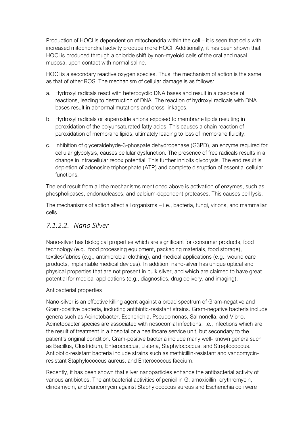Production of HOCl is dependent on mitochondria within the cell – it is seen that cells with increased mitochondrial activity produce more HOCl. Additionally, it has been shown that HOCl is produced through a chloride shift by non-myeloid cells of the oral and nasal mucosa, upon contact with normal saline.

HOCl is a secondary reactive oxygen species. Thus, the mechanism of action is the same as that of other ROS. The mechanism of cellular damage is as follows:

- a. Hydroxyl radicals react with heterocyclic DNA bases and result in a cascade of reactions, leading to destruction of DNA. The reaction of hydroxyl radicals with DNA bases result in abnormal mutations and cross-linkages.
- b. Hydroxyl radicals or superoxide anions exposed to membrane lipids resulting in peroxidation of the polyunsaturated fatty acids. This causes a chain reaction of peroxidation of membrane lipids, ultimately leading to loss of membrane fluidity.
- c. Inhibition of glyceraldehyde-3-phospate dehydrogenase (G3PD), an enzyme required for cellular glycolysis, causes cellular dysfunction. The presence of free radicals results in a change in intracellular redox potential. This further inhibits glycolysis. The end result is depletion of adenosine triphosphate (ATP) and complete disruption of essential cellular functions.

The end result from all the mechanisms mentioned above is activation of enzymes, such as phospholipases, endonucleases, and calcium-dependent proteases. This causes cell lysis.

The mechanisms of action affect all organisms – i.e., bacteria, fungi, virions, and mammalian cells.

#### *7.1.2.2. Nano Silver*

Nano-silver has biological properties which are significant for consumer products, food technology (e.g., food processing equipment, packaging materials, food storage), textiles/fabrics (e.g., antimicrobial clothing), and medical applications (e.g., wound care products, implantable medical devices). In addition, nano-silver has unique optical and physical properties that are not present in bulk silver, and which are claimed to have great potential for medical applications (e.g., diagnostics, drug delivery, and imaging).

#### Antibacterial properties

Nano-silver is an effective killing agent against a broad spectrum of Gram-negative and Gram-positive bacteria, including antibiotic-resistant strains. Gram-negative bacteria include genera such as Acinetobacter, Escherichia, Pseudomonas, Salmonella, and Vibrio. Acinetobacter species are associated with nosocomial infections, i.e., infections which are the result of treatment in a hospital or a healthcare service unit, but secondary to the patient's original condition. Gram-positive bacteria include many well- known genera such as Bacillus, Clostridium, Enterococcus, Listeria, Staphylococcus, and Streptococcus. Antibiotic-resistant bacteria include strains such as methicillin-resistant and vancomycinresistant Staphylococcus aureus, and Enterococcus faecium.

Recently, it has been shown that silver nanoparticles enhance the antibacterial activity of various antibiotics. The antibacterial activities of penicillin G, amoxicillin, erythromycin, clindamycin, and vancomycin against Staphylococcus aureus and Escherichia coli were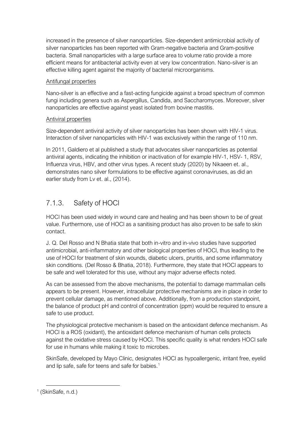increased in the presence of silver nanoparticles. Size-dependent antimicrobial activity of silver nanoparticles has been reported with Gram-negative bacteria and Gram-positive bacteria. Small nanoparticles with a large surface area to volume ratio provide a more efficient means for antibacterial activity even at very low concentration. Nano-silver is an effective killing agent against the majority of bacterial microorganisms.

#### Antifungal properties

Nano-silver is an effective and a fast-acting fungicide against a broad spectrum of common fungi including genera such as Aspergillus, Candida, and Saccharomyces. Moreover, silver nanoparticles are effective against yeast isolated from bovine mastitis.

#### Antiviral properties

Size-dependent antiviral activity of silver nanoparticles has been shown with HIV-1 virus. Interaction of silver nanoparticles with HIV-1 was exclusively within the range of 110 nm.

In 2011, Galdiero et al published a study that advocates silver nanoparticles as potential antiviral agents, indicating the inhibition or inactivation of for example HIV-1, HSV- 1, RSV, Influenza virus, HBV, and other virus types. A recent study (2020) by Nikaeen et. al., demonstrates nano silver formulations to be effective against coronaviruses, as did an earlier study from Lv et. al., (2014).

## <span id="page-11-0"></span>7.1.3. Safety of HOCl

HOCl has been used widely in wound care and healing and has been shown to be of great value. Furthermore, use of HOCl as a sanitising product has also proven to be safe to skin contact.

J. Q. Del Rosso and N Bhatia state that both in-vitro and in-vivo studies have supported antimicrobial, anti-inflammatory and other biological properties of HOCl, thus leading to the use of HOCl for treatment of skin wounds, diabetic ulcers, pruritis, and some inflammatory skin conditions. (Del Rosso & Bhatia, 2018). Furthermore, they state that HOCl appears to be safe and well tolerated for this use, without any major adverse effects noted.

As can be assessed from the above mechanisms, the potential to damage mammalian cells appears to be present. However, intracellular protective mechanisms are in place in order to prevent cellular damage, as mentioned above. Additionally, from a production standpoint, the balance of product pH and control of concentration (ppm) would be required to ensure a safe to use product.

The physiological protective mechanism is based on the antioxidant defence mechanism. As HOCl is a ROS (oxidant), the antioxidant defence mechanism of human cells protects against the oxidative stress caused by HOCl. This specific quality is what renders HOCl safe for use in humans while making it toxic to microbes.

SkinSafe, developed by Mayo Clinic, designates HOCl as hypoallergenic, irritant free, eyelid and lip safe, safe for teens and safe for babies.<sup>1</sup>

<sup>1</sup> (SkinSafe, n.d.)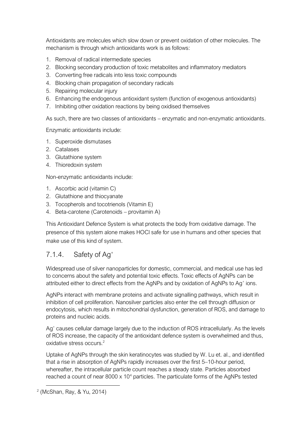Antioxidants are molecules which slow down or prevent oxidation of other molecules. The mechanism is through which antioxidants work is as follows:

- 1. Removal of radical intermediate species
- 2. Blocking secondary production of toxic metabolites and inflammatory mediators
- 3. Converting free radicals into less toxic compounds
- 4. Blocking chain propagation of secondary radicals
- 5. Repairing molecular injury
- 6. Enhancing the endogenous antioxidant system (function of exogenous antioxidants)
- 7. Inhibiting other oxidation reactions by being oxidised themselves

As such, there are two classes of antioxidants – enzymatic and non-enzymatic antioxidants.

Enzymatic antioxidants include:

- 1. Superoxide dismutases
- 2. Catalases
- 3. Glutathione system
- 4. Thioredoxin system

Non-enzymatic antioxidants include:

- 1. Ascorbic acid (vitamin C)
- 2. Glutathione and thiocyanate
- 3. Tocopherols and tocotrienols (Vitamin E)
- 4. Beta-carotene (Carotenoids provitamin A)

This Antioxidant Defence System is what protects the body from oxidative damage. The presence of this system alone makes HOCl safe for use in humans and other species that make use of this kind of system.

### <span id="page-12-0"></span>7.1.4. Safety of Ag<sup>+</sup>

Widespread use of silver nanoparticles for domestic, commercial, and medical use has led to concerns about the safety and potential toxic effects. Toxic effects of AgNPs can be attributed either to direct effects from the AgNPs and by oxidation of AgNPs to Ag<sup>+</sup> ions.

AgNPs interact with membrane proteins and activate signalling pathways, which result in inhibition of cell proliferation. Nanosilver particles also enter the cell through diffusion or endocytosis, which results in mitochondrial dysfunction, generation of ROS, and damage to proteins and nucleic acids.

Ag<sup>+</sup> causes cellular damage largely due to the induction of ROS intracellularly. As the levels of ROS increase, the capacity of the antioxidant defence system is overwhelmed and thus, oxidative stress occurs<sup>2</sup>

Uptake of AgNPs through the skin keratinocytes was studied by W. Lu et. al., and identified that a rise in absorption of AgNPs rapidly increases over the first 5–10-hour period, whereafter, the intracellular particle count reaches a steady state. Particles absorbed reached a count of near 8000 x 10<sup>4</sup> particles. The particulate forms of the AgNPs tested

<sup>2</sup> (McShan, Ray, & Yu, 2014)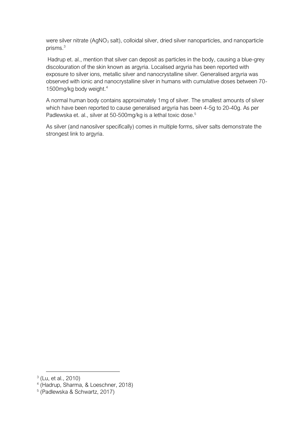were silver nitrate (AgNO<sub>3</sub> salt), colloidal silver, dried silver nanoparticles, and nanoparticle prisms.<sup>3</sup>

Hadrup et. al., mention that silver can deposit as particles in the body, causing a blue-grey discolouration of the skin known as argyria. Localised argyria has been reported with exposure to silver ions, metallic silver and nanocrystalline silver. Generalised argyria was observed with ionic and nanocrystalline silver in humans with cumulative doses between 70- 1500mg/kg body weight.<sup>4</sup>

A normal human body contains approximately 1mg of silver. The smallest amounts of silver which have been reported to cause generalised argyria has been 4-5g to 20-40g. As per Padlewska et. al., silver at 50-500mg/kg is a lethal toxic dose.<sup>5</sup>

As silver (and nanosilver specifically) comes in multiple forms, silver salts demonstrate the strongest link to argyria.

4 (Hadrup, Sharma, & Loeschner, 2018)

<sup>3</sup> (Lu, et al., 2010)

<sup>5</sup> (Padlewska & Schwartz, 2017)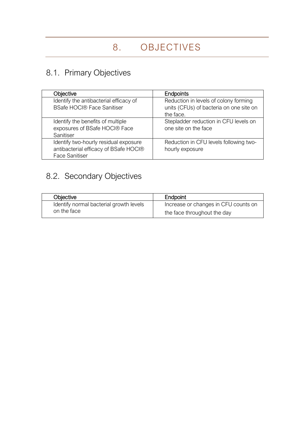# <span id="page-14-1"></span><span id="page-14-0"></span>8.1. Primary Objectives

| Objective                                                                                               | <b>Endpoints</b>                                                                              |
|---------------------------------------------------------------------------------------------------------|-----------------------------------------------------------------------------------------------|
| Identify the antibacterial efficacy of<br><b>BSafe HOCI® Face Sanitiser</b>                             | Reduction in levels of colony forming<br>units (CFUs) of bacteria on one site on<br>the face. |
| Identify the benefits of multiple<br>exposures of BSafe HOCI® Face<br>Sanitiser                         | Stepladder reduction in CFU levels on<br>one site on the face                                 |
| Identify two-hourly residual exposure<br>antibacterial efficacy of BSafe HOCI®<br><b>Face Sanitiser</b> | Reduction in CFU levels following two-<br>hourly exposure                                     |

# <span id="page-14-2"></span>8.2. Secondary Objectives

| Objective                               | Endpoint                             |
|-----------------------------------------|--------------------------------------|
| Identify normal bacterial growth levels | Increase or changes in CFU counts on |
| on the face                             | the face throughout the day          |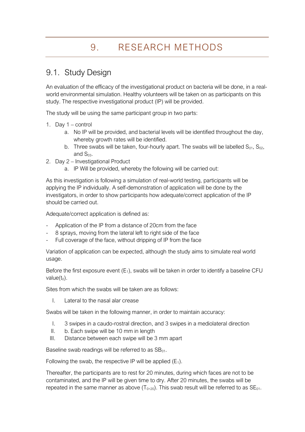## <span id="page-15-1"></span><span id="page-15-0"></span>9.1. Study Design

An evaluation of the efficacy of the investigational product on bacteria will be done, in a realworld environmental simulation. Healthy volunteers will be taken on as participants on this study. The respective investigational product (IP) will be provided.

The study will be using the same participant group in two parts:

- 1. Day 1 control
	- a. No IP will be provided, and bacterial levels will be identified throughout the day, whereby growth rates will be identified.
	- b. Three swabs will be taken, four-hourly apart. The swabs will be labelled  $S_{01}$ ,  $S_{02}$ , and  $S_{03}$ .
- 2. Day 2 Investigational Product
	- a. IP Will be provided, whereby the following will be carried out:

As this investigation is following a simulation of real-world testing, participants will be applying the IP individually. A self-demonstration of application will be done by the investigators, in order to show participants how adequate/correct application of the IP should be carried out.

Adequate/correct application is defined as:

- Application of the IP from a distance of 20cm from the face
- 8 sprays, moving from the lateral left to right side of the face
- Full coverage of the face, without dripping of IP from the face

Variation of application can be expected, although the study aims to simulate real world usage.

Before the first exposure event  $(E_1)$ , swabs will be taken in order to identify a baseline CFU value $(t_0)$ .

Sites from which the swabs will be taken are as follows:

I. Lateral to the nasal alar crease

Swabs will be taken in the following manner, in order to maintain accuracy:

- I. 3 swipes in a caudo-rostral direction, and 3 swipes in a mediolateral direction
- II. b. Each swipe will be 10 mm in length
- III. Distance between each swipe will be 3 mm apart

Baseline swab readings will be referred to as  $SB<sub>01</sub>$ .

Following the swab, the respective IP will be applied  $(E_1)$ .

Thereafter, the participants are to rest for 20 minutes, during which faces are not to be contaminated, and the IP will be given time to dry. After 20 minutes, the swabs will be repeated in the same manner as above  $(T_{0+20})$ . This swab result will be referred to as  $SE_{01}$ .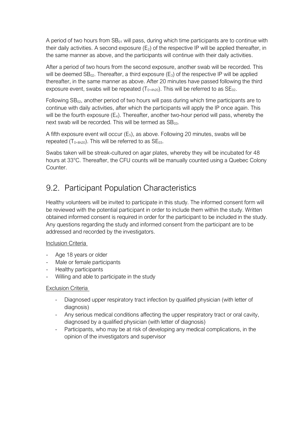A period of two hours from  $SB<sub>01</sub>$  will pass, during which time participants are to continue with their daily activities. A second exposure  $(E_2)$  of the respective IP will be applied thereafter, in the same manner as above, and the participants will continue with their daily activities.

After a period of two hours from the second exposure, another swab will be recorded. This will be deemed  $SB_{02}$ . Thereafter, a third exposure ( $E_3$ ) of the respective IP will be applied thereafter, in the same manner as above. After 20 minutes have passed following the third exposure event, swabs will be repeated  $(T_{0+4h20})$ . This will be referred to as  $SE_{02}$ .

Following  $SB_{02}$ , another period of two hours will pass during which time participants are to continue with daily activities, after which the participants will apply the IP once again. This will be the fourth exposure  $(E_4)$ . Thereafter, another two-hour period will pass, whereby the next swab will be recorded. This will be termed as  $SB<sub>03</sub>$ .

A fifth exposure event will occur  $(E_5)$ , as above. Following 20 minutes, swabs will be repeated ( $T_{0+8h20}$ ). This will be referred to as  $SE_{03}$ .

Swabs taken will be streak-cultured on agar plates, whereby they will be incubated for 48 hours at 33°C. Thereafter, the CFU counts will be manually counted using a Quebec Colony Counter.

## <span id="page-16-0"></span>9.2. Participant Population Characteristics

Healthy volunteers will be invited to participate in this study. The informed consent form will be reviewed with the potential participant in order to include them within the study. Written obtained informed consent is required in order for the participant to be included in the study. Any questions regarding the study and informed consent from the participant are to be addressed and recorded by the investigators.

#### Inclusion Criteria

- Age 18 years or older
- Male or female participants
- Healthy participants
- Willing and able to participate in the study

#### Exclusion Criteria

- Diagnosed upper respiratory tract infection by qualified physician (with letter of diagnosis)
- Any serious medical conditions affecting the upper respiratory tract or oral cavity, diagnosed by a qualified physician (with letter of diagnosis)
- Participants, who may be at risk of developing any medical complications, in the opinion of the investigators and supervisor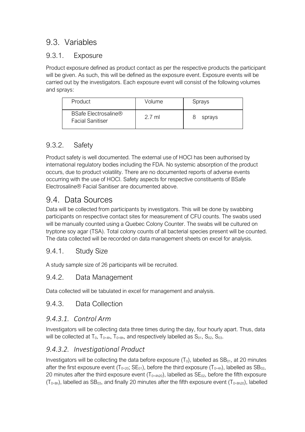## <span id="page-17-0"></span>9.3. Variables

### <span id="page-17-1"></span>9.3.1. Exposure

Product exposure defined as product contact as per the respective products the participant will be given. As such, this will be defined as the exposure event. Exposure events will be carried out by the investigators. Each exposure event will consist of the following volumes and sprays:

| Product                                                | Volume           | Sprays |
|--------------------------------------------------------|------------------|--------|
| <b>BSafe Electrosaline®</b><br><b>Facial Sanitiser</b> | $2.7 \text{ ml}$ | sprays |

## <span id="page-17-2"></span>9.3.2. Safety

Product safety is well documented. The external use of HOCl has been authorised by international regulatory bodies including the FDA. No systemic absorption of the product occurs, due to product volatility. There are no documented reports of adverse events occurring with the use of HOCl. Safety aspects for respective constituents of BSafe Electrosaline® Facial Sanitiser are documented above.

## <span id="page-17-3"></span>9.4. Data Sources

Data will be collected from participants by investigators. This will be done by swabbing participants on respective contact sites for measurement of CFU counts. The swabs used will be manually counted using a Quebec Colony Counter. The swabs will be cultured on tryptone soy agar (TSA). Total colony counts of all bacterial species present will be counted. The data collected will be recorded on data management sheets on excel for analysis.

### <span id="page-17-4"></span>9.4.1. Study Size

A study sample size of 26 participants will be recruited.

### <span id="page-17-5"></span>9.4.2. Data Management

Data collected will be tabulated in excel for management and analysis.

#### <span id="page-17-6"></span>9.4.3. Data Collection

#### *9.4.3.1. Control Arm*

Investigators will be collecting data three times during the day, four hourly apart. Thus, data will be collected at  $T_0$ ,  $T_{0+4h}$ ,  $T_{0+8h}$ , and respectively labelled as  $S_{01}$ ,  $S_{02}$ ,  $S_{03}$ .

### *9.4.3.2. Investigational Product*

Investigators will be collecting the data before exposure  $(T_0)$ , labelled as  $SB<sub>01</sub>$ , at 20 minutes after the first exposure event ( $T_{0+20}$ ; SE<sub>01</sub>), before the third exposure ( $T_{0+4h}$ ), labelled as SB<sub>02</sub>, 20 minutes after the third exposure event ( $T_{0+4h20}$ ), labelled as  $SE_{02}$ , before the fifth exposure  $(T<sub>0+8h</sub>)$ , labelled as SB<sub>03</sub>, and finally 20 minutes after the fifth exposure event (T<sub>0+8h20</sub>), labelled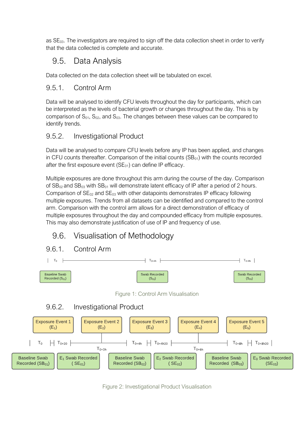as  $SE<sub>03</sub>$ . The investigators are required to sign off the data collection sheet in order to verify that the data collected is complete and accurate.

# <span id="page-18-0"></span>9.5. Data Analysis

Data collected on the data collection sheet will be tabulated on excel.

## <span id="page-18-1"></span>9.5.1. Control Arm

Data will be analysed to identify CFU levels throughout the day for participants, which can be interpreted as the levels of bacterial growth or changes throughout the day. This is by comparison of  $S_{01}$ ,  $S_{02}$ , and  $S_{03}$ . The changes between these values can be compared to identify trends.

## <span id="page-18-2"></span>9.5.2. Investigational Product

Data will be analysed to compare CFU levels before any IP has been applied, and changes in CFU counts thereafter. Comparison of the initial counts  $(SB<sub>01</sub>)$  with the counts recorded after the first exposure event  $(SE<sub>01</sub>)$  can define IP efficacy.

Multiple exposures are done throughout this arm during the course of the day. Comparison of  $SB_{02}$  and  $SB_{03}$  with  $SB_{01}$  will demonstrate latent efficacy of IP after a period of 2 hours. Comparison of  $SE_{02}$  and  $SE_{03}$  with other datapoints demonstrates IP efficacy following multiple exposures. Trends from all datasets can be identified and compared to the control arm. Comparison with the control arm allows for a direct demonstration of efficacy of multiple exposures throughout the day and compounded efficacy from multiple exposures. This may also demonstrate justification of use of IP and frequency of use.

## <span id="page-18-3"></span>9.6. Visualisation of Methodology

#### <span id="page-18-4"></span>9.6.1. Control Arm



Figure 1: Control Arm Visualisation

## <span id="page-18-6"></span><span id="page-18-5"></span>9.6.2. Investigational Product



Figure 2: Investigational Product Visualisation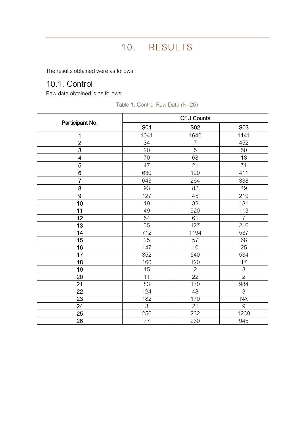<span id="page-19-0"></span>The results obtained were as follows:

## <span id="page-19-1"></span>10.1. Control

Raw data obtained is as follows:

|                 | <b>CFU Counts</b> |                |                           |
|-----------------|-------------------|----------------|---------------------------|
| Participant No. | S01               | <b>S02</b>     | <b>S03</b>                |
| 1               | 1041              | 1640           | 1141                      |
| $\overline{2}$  | 34                | $\overline{7}$ | 452                       |
| $\overline{3}$  | 20                | 5              | 50                        |
| 4               | 70                | 68             | 18                        |
| 5               | 47                | 21             | 71                        |
| 6               | 630               | 120            | 411                       |
| $\overline{7}$  | 643               | 264            | 338                       |
| 8               | 93                | 82             | 49                        |
| 9               | 127               | 45             | 219                       |
| 10              | 19                | 32             | 181                       |
| 11              | 49                | 920            | 113                       |
| 12              | 54                | 61             | $\overline{7}$            |
| 13              | 35                | 127            | 216                       |
| 14              | 712               | 1194           | 537                       |
| 15              | 25                | 57             | 68                        |
| 16              | 147               | 10             | 25                        |
| 17              | 352               | 540            | 534                       |
| 18              | 160               | 120            | 17                        |
| 19              | 15                | $\overline{2}$ | $\ensuremath{\mathsf{3}}$ |
| 20              | 11                | 22             | $\overline{2}$            |
| 21              | 83                | 170            | 984                       |
| 22              | 124               | 48             | 3                         |
| 23              | 182               | 170            | <b>NA</b>                 |
| 24              | 3                 | 21             | 9                         |
| 25              | 256               | 232            | 1239                      |
| 26              | 77                | 230            | 945                       |

Table 1: Control Raw Data (N=26)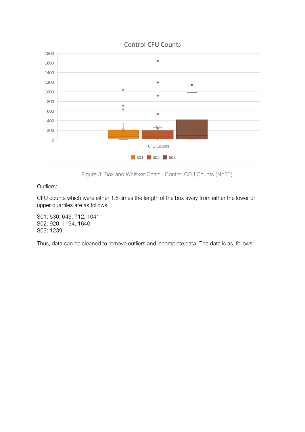

Figure 3: Box and Whisker Chart - Control CFU Counts (N=26)

<span id="page-20-0"></span>Outliers:

CFU counts which were either 1.5 times the length of the box away from either the lower or upper quartiles are as follows:

S01: 630, 643, 712, 1041 S02: 920, 1194, 1640 S03: 1239

Thus, data can be cleaned to remove outliers and incomplete data. The data is as follows: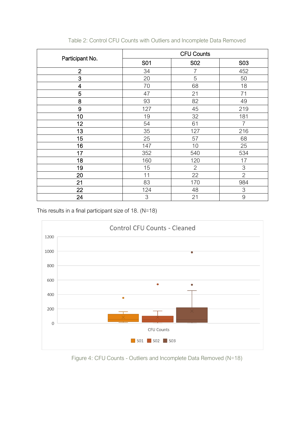| Participant No.         | <b>CFU Counts</b> |                |                |
|-------------------------|-------------------|----------------|----------------|
|                         | S01               | <b>S02</b>     | <b>S03</b>     |
| $\overline{2}$          | 34                | 7              | 452            |
| 3                       | 20                | 5              | 50             |
| $\overline{\mathbf{4}}$ | 70                | 68             | 18             |
| 5                       | 47                | 21             | 71             |
| 8                       | 93                | 82             | 49             |
| 9                       | 127               | 45             | 219            |
| 10                      | 19                | 32             | 181            |
| 12                      | 54                | 61             | $\overline{7}$ |
| 13                      | 35                | 127            | 216            |
| 15                      | 25                | 57             | 68             |
| 16                      | 147               | 10             | 25             |
| 17                      | 352               | 540            | 534            |
| 18                      | 160               | 120            | 17             |
| 19                      | 15                | $\overline{2}$ | 3              |
| 20                      | 11                | 22             | $\overline{2}$ |
| 21                      | 83                | 170            | 984            |
| 22                      | 124               | 48             | 3              |
| 24                      | 3                 | 21             | $\Theta$       |

Table 2: Control CFU Counts with Outliers and Incomplete Data Removed

This results in a final participant size of 18. (N=18)



<span id="page-21-0"></span>Figure 4: CFU Counts - Outliers and Incomplete Data Removed (N=18)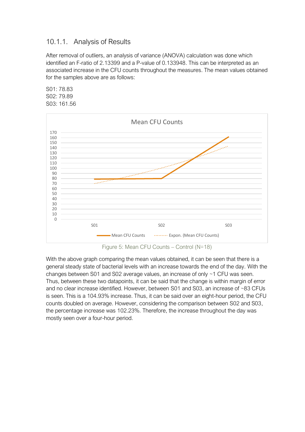#### <span id="page-22-0"></span>10.1.1. Analysis of Results

After removal of outliers, an analysis of variance (ANOVA) calculation was done which identified an F-ratio of 2.13399 and a P-value of 0.133948. This can be interpreted as an associated increase in the CFU counts throughout the measures. The mean values obtained for the samples above are as follows:

S01: 78.83 S02: 79.89 S03: 161.56



<span id="page-22-1"></span>With the above graph comparing the mean values obtained, it can be seen that there is a general steady state of bacterial levels with an increase towards the end of the day. With the changes between S01 and S02 average values, an increase of only ~1 CFU was seen. Thus, between these two datapoints, it can be said that the change is within margin of error and no clear increase identified. However, between S01 and S03, an increase of ~83 CFUs is seen. This is a 104.93% increase. Thus, it can be said over an eight-hour period, the CFU counts doubled on average. However, considering the comparison between S02 and S03, the percentage increase was 102.23%. Therefore, the increase throughout the day was mostly seen over a four-hour period.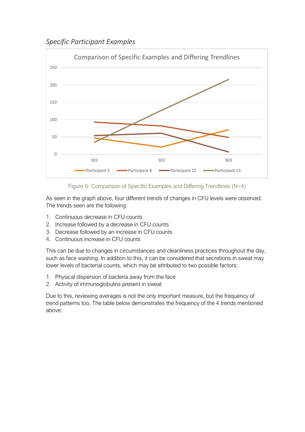*Specific Participant Examples*



Figure 6: Comparison of Specific Examples and Differing Trendlines (N=4)

<span id="page-23-0"></span>As seen in the graph above, four different trends of changes in CFU levels were observed. The trends seen are the following:

- 1. Continuous decrease in CFU counts
- 2. Increase followed by a decrease in CFU counts
- 3. Decrease followed by an increase in CFU counts
- 4. Continuous increase in CFU counts

This can be due to changes in circumstances and cleanliness practices throughout the day, such as face washing. In addition to this, it can be considered that secretions in sweat may lower levels of bacterial counts, which may be attributed to two possible factors:

- 1. Physical dispersion of bacteria away from the face
- 2. Activity of immunoglobulins present in sweat

Due to this, reviewing averages is not the only important measure, but the frequency of trend patterns too. The table below demonstrates the frequency of the 4 trends mentioned above: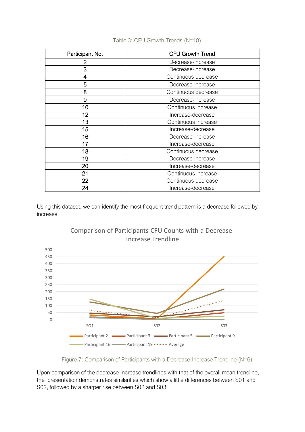| Participant No. | <b>CFU Growth Trend</b> |
|-----------------|-------------------------|
| 2               | Decrease-increase       |
| 3               | Decrease-increase       |
| 4               | Continuous decrease     |
| 5               | Decrease-increase       |
| 8               | Continuous decrease     |
| 9               | Decrease-increase       |
| 10              | Continuous increase     |
| 12              | Increase-decrease       |
| 13              | Continuous increase     |
| 15              | Increase-decrease       |
| 16              | Decrease-increase       |
| 17              | Increase-decrease       |
| 18              | Continuous decrease     |
| 19              | Decrease-increase       |
| 20              | Increase-decrease       |
| 21              | Continuous increase     |
| 22              | Continuous decrease     |
| 24              | Increase-decrease       |

Table 3: CFU Growth Trends (N=18)

Using this dataset, we can identify the most frequent trend pattern is a decrease followed by increase.



Figure 7: Comparison of Participants with a Decrease-Increase Trendline (N=6)

<span id="page-24-0"></span>Upon comparison of the decrease-increase trendlines with that of the overall mean trendline, the presentation demonstrates similarities which show a little differences between S01 and S02, followed by a sharper rise between S02 and S03.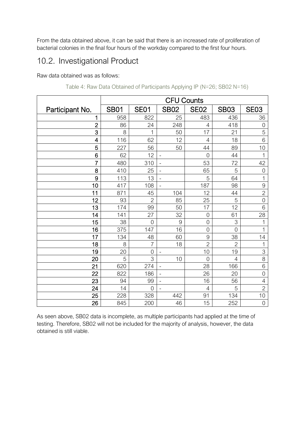From the data obtained above, it can be said that there is an increased rate of proliferation of bacterial colonies in the final four hours of the workday compared to the first four hours.

## <span id="page-25-0"></span>10.2. Investigational Product

Raw data obtained was as follows:

|                 | <b>CFU Counts</b> |                |                          |                |                |                |
|-----------------|-------------------|----------------|--------------------------|----------------|----------------|----------------|
| Participant No. | <b>SB01</b>       | <b>SE01</b>    | <b>SB02</b>              | <b>SE02</b>    | <b>SB03</b>    | <b>SE03</b>    |
| 1               | 958               | 822            | 25                       | 483            | 436            | 36             |
| $\overline{2}$  | 86                | 24             | 248                      | 4              | 418            | 0              |
| 3               | 8                 | 1              | 50                       | 17             | 21             | 5              |
| 4               | 116               | 62             | 12                       | 4              | 18             | 6              |
| 5               | 227               | 56             | 50                       | 44             | 89             | 10             |
| 6               | 62                | 12             |                          | $\overline{0}$ | 44             | 1              |
| $\overline{7}$  | 480               | 310            | $\overline{\phantom{a}}$ | 53             | 72             | 42             |
| 8               | 410               | 25             | $\overline{\phantom{0}}$ | 65             | 5              | 0              |
| 9               | 113               | 13             |                          | 5              | 64             | $\mathbf 1$    |
| 10              | 417               | 108            | $\overline{\phantom{a}}$ | 187            | 98             | 9              |
| 11              | 871               | 45             | 104                      | 12             | 44             | $\overline{2}$ |
| 12              | 93                | $\overline{2}$ | 85                       | 25             | 5              | $\overline{0}$ |
| 13              | 174               | 99             | 50                       | 17             | 12             | 6              |
| 14              | 141               | 27             | 32                       | $\overline{0}$ | 61             | 28             |
| 15              | 38                | $\overline{0}$ | 9                        | $\overline{0}$ | 3              | 1              |
| 16              | 375               | 147            | 16                       | $\overline{0}$ | $\overline{0}$ | 1              |
| 17              | 134               | 48             | 60                       | 9              | 38             | 14             |
| 18              | 8                 | 7              | 18                       | $\overline{2}$ | $\overline{2}$ | 1              |
| 19              | 20                | $\overline{0}$ | $\overline{\phantom{a}}$ | 10             | 19             | 3              |
| 20              | 5                 | 3              | 10                       | $\overline{0}$ | $\overline{4}$ | $\overline{8}$ |
| 21              | 620               | 274            | $\blacksquare$           | 28             | 166            | 6              |
| 22              | 822               | 186            | $\overline{\phantom{a}}$ | 26             | 20             | $\overline{0}$ |
| 23              | 94                | 99             | $\qquad \qquad -$        | 16             | 56             | 4              |
| 24              | 14                | $\Omega$       |                          | 4              | 5              | $\overline{2}$ |
| 25              | 228               | 328            | 442                      | 91             | 134            | 10             |
| 26              | 845               | 200            | 46                       | 15             | 252            | $\mathbf 0$    |

| Table 4: Raw Data Obtained of Participants Applying IP (N=26; SB02 N=16) |  |
|--------------------------------------------------------------------------|--|
|                                                                          |  |

As seen above, SB02 data is incomplete, as multiple participants had applied at the time of testing. Therefore, SB02 will not be included for the majority of analysis, however, the data obtained is still viable.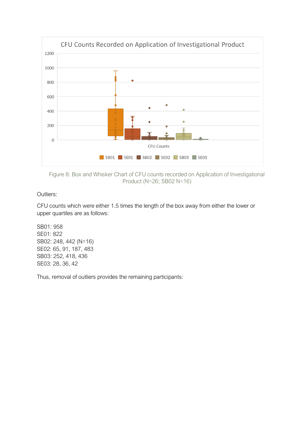

<span id="page-26-0"></span>Figure 8: Box and Whisker Chart of CFU counts recorded on Application of Investigational Product (N=26; SB02 N=16)

Outliers:

CFU counts which were either 1.5 times the length of the box away from either the lower or upper quartiles are as follows:

SB01: 958 SE01: 822 SB02: 248, 442 (N=16) SE02: 65, 91, 187, 483 SB03: 252, 418, 436 SE03: 28, 36, 42

Thus, removal of outliers provides the remaining participants: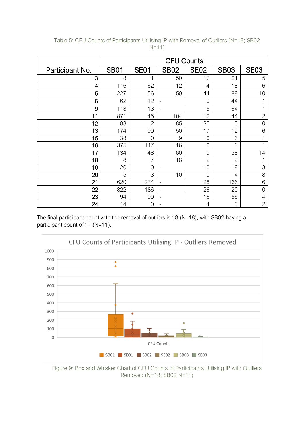|                 | <b>CFU Counts</b> |                |                          |                |                |                |
|-----------------|-------------------|----------------|--------------------------|----------------|----------------|----------------|
| Participant No. | <b>SB01</b>       | <b>SE01</b>    | <b>SB02</b>              | <b>SE02</b>    | <b>SB03</b>    | <b>SE03</b>    |
| 3               | 8                 | 1              | 50                       | 17             | 21             | 5              |
| 4               | 116               | 62             | 12                       | 4              | 18             | 6              |
| 5               | 227               | 56             | 50                       | 44             | 89             | 10             |
| 6               | 62                | 12             |                          | $\overline{0}$ | 44             |                |
| 9               | 113               | 13             | $\qquad \qquad =$        | 5              | 64             | 1              |
| 11              | 871               | 45             | 104                      | 12             | 44             | $\overline{2}$ |
| 12              | 93                | $\overline{2}$ | 85                       | 25             | 5              | $\overline{0}$ |
| 13              | 174               | 99             | 50                       | 17             | 12             | 6              |
| 15              | 38                | 0              | 9                        | $\overline{0}$ | 3              |                |
| 16              | 375               | 147            | 16                       | $\overline{0}$ | $\overline{0}$ |                |
| 17              | 134               | 48             | 60                       | 9              | 38             | 14             |
| 18              | 8                 | 7              | 18                       | $\overline{2}$ | $\overline{2}$ |                |
| 19              | 20                | 0              |                          | 10             | 19             | 3              |
| 20              | 5                 | 3              | 10                       | 0              | $\overline{4}$ | 8              |
| 21              | 620               | 274            | $\overline{\phantom{m}}$ | 28             | 166            | 6              |
| 22              | 822               | 186            | $\overline{\phantom{a}}$ | 26             | 20             | $\overline{0}$ |
| 23              | 94                | 99             | -                        | 16             | 56             | $\overline{4}$ |
| 24              | 14                | 0              |                          | 4              | 5              | $\overline{c}$ |

Table 5: CFU Counts of Participants Utilising IP with Removal of Outliers (N=18; SB02 N=11)

The final participant count with the removal of outliers is 18 (N=18), with SB02 having a participant count of 11 (N=11).



<span id="page-27-0"></span>Figure 9: Box and Whisker Chart of CFU Counts of Participants Utilising IP with Outliers Removed (N=18; SB02 N=11)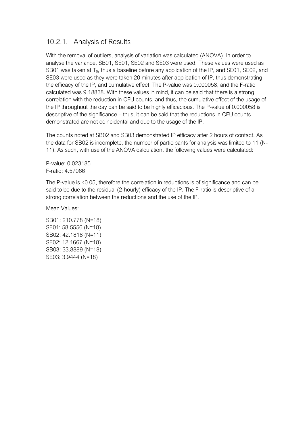### <span id="page-28-0"></span>10.2.1. Analysis of Results

With the removal of outliers, analysis of variation was calculated (ANOVA). In order to analyse the variance, SB01, SE01, SE02 and SE03 were used. These values were used as SB01 was taken at  $T_0$ , thus a baseline before any application of the IP, and SE01, SE02, and SE03 were used as they were taken 20 minutes after application of IP, thus demonstrating the efficacy of the IP, and cumulative effect. The P-value was 0.000058, and the F-ratio calculated was 9.18838. With these values in mind, it can be said that there is a strong correlation with the reduction in CFU counts, and thus, the cumulative effect of the usage of the IP throughout the day can be said to be highly efficacious. The P-value of 0.000058 is descriptive of the significance – thus, it can be said that the reductions in CFU counts demonstrated are not coincidental and due to the usage of the IP.

The counts noted at SB02 and SB03 demonstrated IP efficacy after 2 hours of contact. As the data for SB02 is incomplete, the number of participants for analysis was limited to 11 (N-11). As such, with use of the ANOVA calculation, the following values were calculated:

P-value: 0.023185 F-ratio: 4.57066

The P-value is <0.05, therefore the correlation in reductions is of significance and can be said to be due to the residual (2-hourly) efficacy of the IP. The F-ratio is descriptive of a strong correlation between the reductions and the use of the IP.

Mean Values:

SB01: 210.778 (N=18) SE01: 58.5556 (N=18) SB02: 42.1818 (N=11) SE02: 12.1667 (N=18) SB03: 33.8889 (N=18) SE03: 3.9444 (N=18)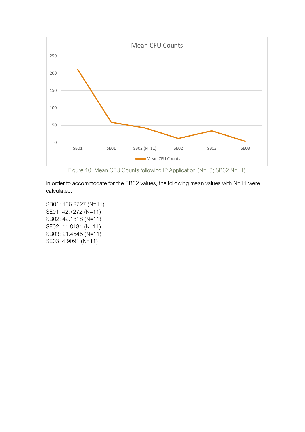

Figure 10: Mean CFU Counts following IP Application (N=18; SB02 N=11)

<span id="page-29-0"></span>In order to accommodate for the SB02 values, the following mean values with N=11 were calculated:

SB01: 186.2727 (N=11) SE01: 42.7272 (N=11) SB02: 42.1818 (N=11) SE02: 11.8181 (N=11) SB03: 21.4545 (N=11) SE03: 4.9091 (N=11)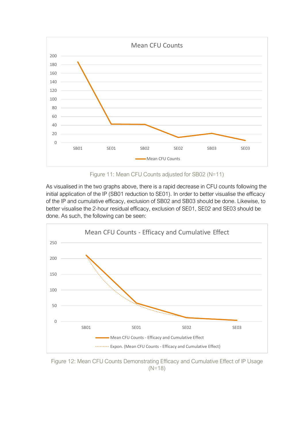

Figure 11: Mean CFU Counts adjusted for SB02 (N=11)

<span id="page-30-0"></span>As visualised in the two graphs above, there is a rapid decrease in CFU counts following the initial application of the IP (SB01 reduction to SE01). In order to better visualise the efficacy of the IP and cumulative efficacy, exclusion of SB02 and SB03 should be done. Likewise, to better visualise the 2-hour residual efficacy, exclusion of SE01, SE02 and SE03 should be done. As such, the following can be seen:



<span id="page-30-1"></span>Figure 12: Mean CFU Counts Demonstrating Efficacy and Cumulative Effect of IP Usage (N=18)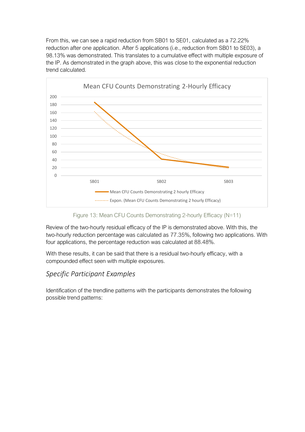From this, we can see a rapid reduction from SB01 to SE01, calculated as a 72.22% reduction after one application. After 5 applications (i.e., reduction from SB01 to SE03), a 98.13% was demonstrated. This translates to a cumulative effect with multiple exposure of the IP. As demonstrated in the graph above, this was close to the exponential reduction trend calculated.



Figure 13: Mean CFU Counts Demonstrating 2-hourly Efficacy (N=11)

<span id="page-31-0"></span>Review of the two-hourly residual efficacy of the IP is demonstrated above. With this, the two-hourly reduction percentage was calculated as 77.35%, following two applications. With four applications, the percentage reduction was calculated at 88.48%.

With these results, it can be said that there is a residual two-hourly efficacy, with a compounded effect seen with multiple exposures.

#### *Specific Participant Examples*

Identification of the trendline patterns with the participants demonstrates the following possible trend patterns: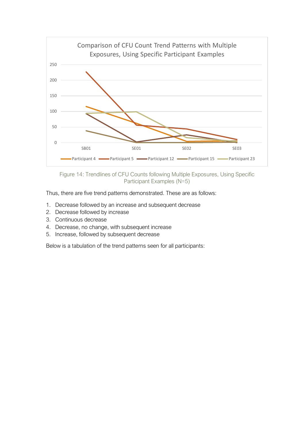

Figure 14: Trendlines of CFU Counts following Multiple Exposures, Using Specific Participant Examples (N=5)

<span id="page-32-0"></span>Thus, there are five trend patterns demonstrated. These are as follows:

- 1. Decrease followed by an increase and subsequent decrease
- 2. Decrease followed by increase
- 3. Continuous decrease
- 4. Decrease, no change, with subsequent increase
- 5. Increase, followed by subsequent decrease

Below is a tabulation of the trend patterns seen for all participants: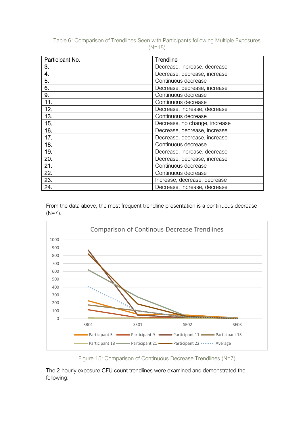| Table 6: Comparison of Trendlines Seen with Participants following Multiple Exposures |          |  |
|---------------------------------------------------------------------------------------|----------|--|
|                                                                                       | $(N=18)$ |  |

| Participant No. | Trendline                     |
|-----------------|-------------------------------|
| 3.              | Decrease, increase, decrease  |
| 4.              | Decrease, decrease, increase  |
| 5.              | Continuous decrease           |
| 6.              | Decrease, decrease, increase  |
| 9.              | Continuous decrease           |
| 11.             | Continuous decrease           |
| 12.             | Decrease, increase, decrease  |
| 13.             | Continuous decrease           |
| 15.             | Decrease, no change, increase |
| 16.             | Decrease, decrease, increase  |
| 17.             | Decrease, decrease, increase  |
| 18.             | Continuous decrease           |
| 19.             | Decrease, increase, decrease  |
| 20.             | Decrease, decrease, increase  |
| 21.             | Continuous decrease           |
| 22.             | Continuous decrease           |
| 23.             | Increase, decrease, decrease  |
| 24.             | Decrease, increase, decrease  |

From the data above, the most frequent trendline presentation is a continuous decrease (N=7).



Figure 15: Comparison of Continuous Decrease Trendlines (N=7)

<span id="page-33-0"></span>The 2-hourly exposure CFU count trendlines were examined and demonstrated the following: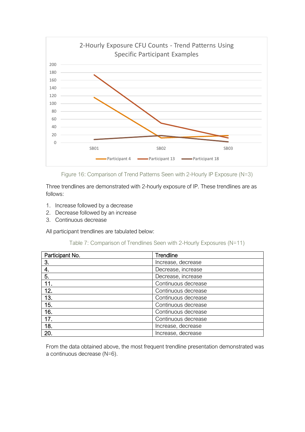

Figure 16: Comparison of Trend Patterns Seen with 2-Hourly IP Exposure (N=3)

<span id="page-34-0"></span>Three trendlines are demonstrated with 2-hourly exposure of IP. These trendlines are as follows:

- 1. Increase followed by a decrease
- 2. Decrease followed by an increase
- 3. Continuous decrease

All participant trendlines are tabulated below:

| Table 7: Comparison of Trendlines Seen with 2-Hourly Exposures (N=11) |
|-----------------------------------------------------------------------|
|-----------------------------------------------------------------------|

| Participant No. | Trendline           |
|-----------------|---------------------|
| 3.              | Increase, decrease  |
| 4.              | Decrease, increase  |
| 5.              | Decrease, increase  |
| 11.             | Continuous decrease |
| 12.             | Continuous decrease |
| 13.             | Continuous decrease |
| 15.             | Continuous decrease |
| 16.             | Continuous decrease |
| 17.             | Continuous decrease |
| 18.             | Increase, decrease  |
| 20.             | Increase, decrease  |

From the data obtained above, the most frequent trendline presentation demonstrated was a continuous decrease (N=6).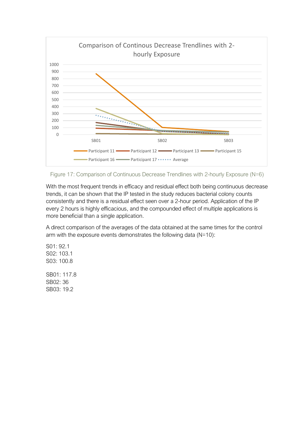

<span id="page-35-0"></span>

With the most frequent trends in efficacy and residual effect both being continuous decrease trends, it can be shown that the IP tested in the study reduces bacterial colony counts consistently and there is a residual effect seen over a 2-hour period. Application of the IP every 2 hours is highly efficacious, and the compounded effect of multiple applications is more beneficial than a single application.

A direct comparison of the averages of the data obtained at the same times for the control arm with the exposure events demonstrates the following data (N=10):

S01: 92.1 S02: 103.1 S03: 100.8 SB01: 117.8 SB02: 36 SB03: 19.2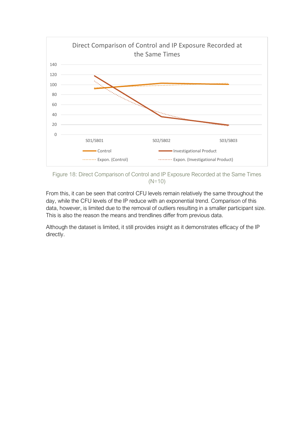

<span id="page-36-0"></span>Figure 18: Direct Comparison of Control and IP Exposure Recorded at the Same Times (N=10)

From this, it can be seen that control CFU levels remain relatively the same throughout the day, while the CFU levels of the IP reduce with an exponential trend. Comparison of this data, however, is limited due to the removal of outliers resulting in a smaller participant size. This is also the reason the means and trendlines differ from previous data.

Although the dataset is limited, it still provides insight as it demonstrates efficacy of the IP directly.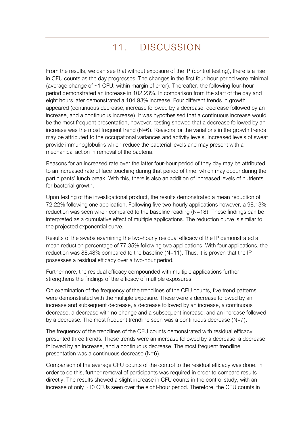# 11. DISCUSSION

<span id="page-37-0"></span>From the results, we can see that without exposure of the IP (control testing), there is a rise in CFU counts as the day progresses. The changes in the first four-hour period were minimal (average change of ~1 CFU; within margin of error). Thereafter, the following four-hour period demonstrated an increase in 102.23%. In comparison from the start of the day and eight hours later demonstrated a 104.93% increase. Four different trends in growth appeared (continuous decrease, increase followed by a decrease, decrease followed by an increase, and a continuous increase). It was hypothesised that a continuous increase would be the most frequent presentation, however, testing showed that a decrease followed by an increase was the most frequent trend (N=6). Reasons for the variations in the growth trends may be attributed to the occupational variances and activity levels. Increased levels of sweat provide immunoglobulins which reduce the bacterial levels and may present with a mechanical action in removal of the bacteria.

Reasons for an increased rate over the latter four-hour period of they day may be attributed to an increased rate of face touching during that period of time, which may occur during the participants' lunch break. With this, there is also an addition of increased levels of nutrients for bacterial growth.

Upon testing of the investigational product, the results demonstrated a mean reduction of 72.22% following one application. Following five two-hourly applications however, a 98.13% reduction was seen when compared to the baseline reading (N=18). These findings can be interpreted as a cumulative effect of multiple applications. The reduction curve is similar to the projected exponential curve.

Results of the swabs examining the two-hourly residual efficacy of the IP demonstrated a mean reduction percentage of 77.35% following two applications. With four applications, the reduction was 88.48% compared to the baseline (N=11). Thus, it is proven that the IP possesses a residual efficacy over a two-hour period.

Furthermore, the residual efficacy compounded with multiple applications further strengthens the findings of the efficacy of multiple exposures.

On examination of the frequency of the trendlines of the CFU counts, five trend patterns were demonstrated with the multiple exposure. These were a decrease followed by an increase and subsequent decrease, a decrease followed by an increase, a continuous decrease, a decrease with no change and a subsequent increase, and an increase followed by a decrease. The most frequent trendline seen was a continuous decrease (N=7).

The frequency of the trendlines of the CFU counts demonstrated with residual efficacy presented three trends. These trends were an increase followed by a decrease, a decrease followed by an increase, and a continuous decrease. The most frequent trendline presentation was a continuous decrease (N=6).

Comparison of the average CFU counts of the control to the residual efficacy was done. In order to do this, further removal of participants was required in order to compare results directly. The results showed a slight increase in CFU counts in the control study, with an increase of only ~10 CFUs seen over the eight-hour period. Therefore, the CFU counts in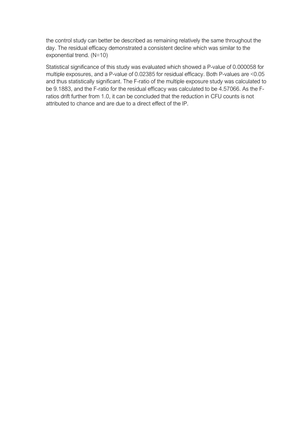the control study can better be described as remaining relatively the same throughout the day. The residual efficacy demonstrated a consistent decline which was similar to the exponential trend. (N=10)

Statistical significance of this study was evaluated which showed a P-value of 0.000058 for multiple exposures, and a P-value of 0.02385 for residual efficacy. Both P-values are <0.05 and thus statistically significant. The F-ratio of the multiple exposure study was calculated to be 9.1883, and the F-ratio for the residual efficacy was calculated to be 4.57066. As the Fratios drift further from 1.0, it can be concluded that the reduction in CFU counts is not attributed to chance and are due to a direct effect of the IP.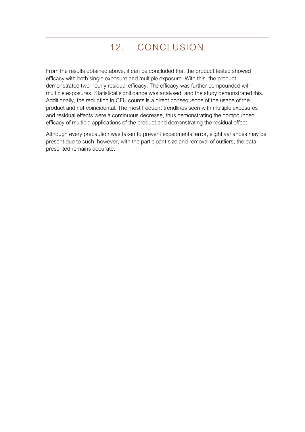# 12. CONCLUSION

<span id="page-39-0"></span>From the results obtained above, it can be concluded that the product tested showed efficacy with both single exposure and multiple exposure. With this, the product demonstrated two-hourly residual efficacy. The efficacy was further compounded with multiple exposures. Statistical significance was analysed, and the study demonstrated this. Additionally, the reduction in CFU counts is a direct consequence of the usage of the product and not coincidental. The most frequent trendlines seen with multiple exposures and residual effects were a continuous decrease, thus demonstrating the compounded efficacy of multiple applications of the product and demonstrating the residual effect.

Although every precaution was taken to prevent experimental error, slight variances may be present due to such, however, with the participant size and removal of outliers, the data presented remains accurate.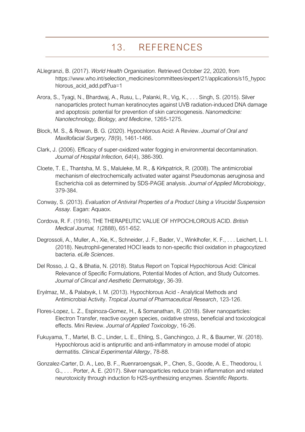# 13. REFERENCES

- <span id="page-40-0"></span>ALlegranzi, B. (2017). *World Health Organisation.* Retrieved October 22, 2020, from https://www.who.int/selection\_medicines/committees/expert/21/applications/s15\_hypoc hlorous\_acid\_add.pdf?ua=1
- Arora, S., Tyagi, N., Bhardwaj, A., Rusu, L., Palanki, R., Vig, K., . . . Singh, S. (2015). Silver nanoparticles protect human keratinocytes against UVB radiation-induced DNA damage and apoptosis: potential for prevention of skin carcinogenesis. *Nanomedicine: Nanotechnology, Biology, and Medicine*, 1265-1275.
- Block, M. S., & Rowan, B. G. (2020). Hypochlorous Acid: A Review. *Journal of Oral and Maxillofacial Surgery, 78*(9), 1461-1466.
- Clark, J. (2006). Efficacy of super-oxidized water fogging in environmental decontamination. *Journal of Hospital Infection, 64*(4), 386-390.
- Cloete, T. E., Thantsha, M. S., Maluleke, M. R., & Kirkpatrick, R. (2008). The antimicrobial mechanism of electrochemically activated water against Pseudomonas aeruginosa and Escherichia coli as determined by SDS-PAGE analysis. *Journal of Applied Microbiology*, 379-384.
- Conway, S. (2013). *Evaluation of Antiviral Properties of a Product Using a Virucidal Suspension Assay.* Eagan: Aquaox.
- Cordova, R. F. (1916). THE THERAPEUTIC VALUE OF HYPOCHLOROUS ACID. *British Medical Journal, 1*(2888), 651-652.
- Degrossoli, A., Muller, A., Xie, K., Schneider, J. F., Bader, V., Winklhofer, K. F., . . . Leichert, L. I. (2018). Neutrophil-generated HOCl leads to non-specific thiol oxidation in phagocytized bacteria. *eLife Sciences*.
- Del Rosso, J. Q., & Bhatia, N. (2018). Status Report on Topical Hypochlorous Acid: Clinical Relevance of Specific Formulations, Potential Modes of Action, and Study Outcomes. *Journal of Clincal and Aesthetic Dermatology*, 36-39.
- Eryılmaz, M., & Palabıyık, I. M. (2013). Hypochlorous Acid Analytical Methods and Antimicrobial Activity. *Tropical Journal of Pharmaceutical Research*, 123-126.
- Flores-Lopez, L. Z., Espinoza-Gomez, H., & Somanathan, R. (2018). Silver nanoparticles: Electron Transfer, reactive oxygen species, oxidative stress, beneficial and toxicological effects. Mini Review. *Journal of Applied Toxicology*, 16-26.
- Fukuyama, T., Martel, B. C., Linder, L. E., Ehling, S., Ganchingco, J. R., & Baumer, W. (2018). Hypochlorous acid is antipruritic and anti-inflammatory in amouse model of atopic dermatitis. *Clinical Experimental Allergy*, 78-88.
- Gonzalez-Carter, D. A., Leo, B. F., Ruenraroengsak, P., Chen, S., Goode, A. E., Theodorou, I. G., . . . Porter, A. E. (2017). Silver nanoparticles reduce brain inflammation and related neurotoxicity through induction fo H2S-synthesizing enzymes. *Scientific Reports*.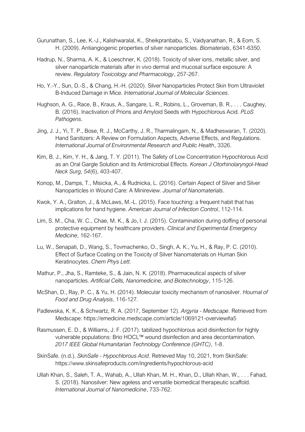- Gurunathan, S., Lee, K.-J., Kalishwaralal, K., Sheikpranbabu, S., Vaidyanathan, R., & Eom, S. H. (2009). Antiangiogenic properties of silver nanoparticles. *Biomaterials*, 6341-6350.
- Hadrup, N., Sharma, A. K., & Loeschner, K. (2018). Toxicity of silver ions, metallic silver, and silver nanoparticle materials after in vivo dermal and mucosal surface exposure: A review. *Regulatory Toxicology and Pharmacology*, 257-267.
- Ho, Y.-Y., Sun, D.-S., & Chang, H.-H. (2020). Silver Nanoparticles Protect Skin from Ultraviolet B-Induced Damage in Mice. *International Journal of Molecular Sciences*.
- Hughson, A. G., Race, B., Kraus, A., Sangare, L. R., Robins, L., Groveman, B. R., . . . Caughey, B. (2016). Inactivation of Prions and Amyloid Seeds with Hypochlorous Acid. *PLoS Pathogens*.
- Jing, J. J., Yi, T. P., Bose, R. J., McCarthy, J. R., Tharmalingam, N., & Madheswaran, T. (2020). Hand Sanitizers: A Review on Formulation Aspects, Adverse Effects, and Regulations. *International Journal of Environmental Research and Public Health*, 3326.
- Kim, B. J., Kim, Y. H., & Jang, T. Y. (2011). The Safety of Low Concentration Hypochlorous Acid as an Oral Gargle Solution and its Antimicrobial Effects. *Korean J Otorhinolaryngol-Head Neck Surg, 54*(6), 403-407.
- Konop, M., Damps, T., Misicka, A., & Rudnicka, L. (2016). Certain Aspect of Silver and Silver Nanoparticles in Wound Care: A Minireview. *Journal of Nanomaterials*.
- Kwok, Y. A., Gralton, J., & McLaws, M.-L. (2015). Face touching: a frequent habit that has implications for hand hygiene. *American Journal of Infection Control*, 112-114.
- Lim, S. M., Cha, W. C., Chae, M. K., & Jo, I. J. (2015). Contamination during doffing of personal protective equipment by healthcare providers. *Clinical and Experimental Emergency Medicine*, 162-167.
- Lu, W., Senapati, D., Wang, S., Tovmachenko, O., Singh, A. K., Yu, H., & Ray, P. C. (2010). Effect of Surface Coating on the Toxicity of Silver Nanomaterials on Human Skin Keratinocytes. *Chem Phys Lett.*
- Mathur, P., Jha, S., Ramteke, S., & Jain, N. K. (2018). Pharmaceutical aspects of silver nanoparticles. *Artificial Cells, Nanomedicine, and Biotechnology*, 115-126.
- McShan, D., Ray, P. C., & Yu, H. (2014). Molecular toxicity mechanism of nanosilver. *Hournal of Food and Drug Analysis*, 116-127.
- Padlewska, K. K., & Schwartz, R. A. (2017, September 12). *Argyria - Medscape*. Retrieved from Medscape: https://emedicine.medscape.com/article/1069121-overview#a5
- Rasmussen, E. D., & Williams, J. F. (2017). tabilized hypochlorous acid disinfection for highly vulnerable populations: Brio HOCL™ wound disinfection and area decontamination. *2017 IEEE Global Humanitarian Technology Conference (GHTC)*, 1-8.
- SkinSafe. (n.d.). *SkinSafe - Hypochlorous Acid*. Retrieved May 10, 2021, from SkinSafe: https://www.skinsafeproducts.com/ingredients/hypochlorous-acid
- Ullah Khan, S., Saleh, T. A., Wahab, A., Ullah Khan, M. H., Khan, D., Ullah Khan, W., . . . Fahad, S. (2018). Nanosilver: New ageless and versatile biomedical therapeutic scaffold. *International Journal of Nanomedicine*, 733-762.